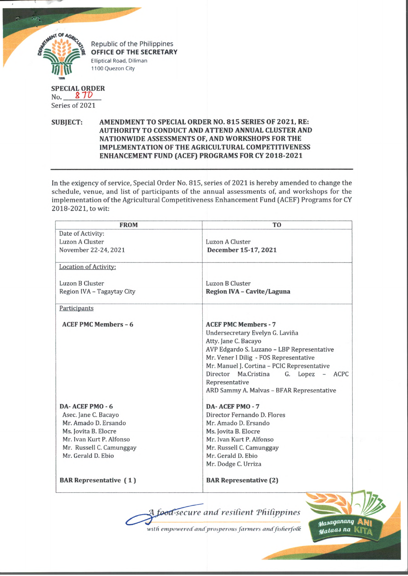

## **SPECIAL ORDER** No. 810 Series of 2021

## **SUBJECT: AMENDMENT TO SPECIAL ORDER NO. 815 SERIES OF 2021, RE: AUTHORITY TO CONDUCT AND ATTEND ANNUAL CLUSTER AND NATIONWIDE ASSESSMENTS OF, AND WORKSHOPS FOR THE IMPLEMENTATION OF THE AGRICULTURAL COMPETITIVENESS ENHANCEMENT FUND (ACEF) PROGRAMS FOR CY 2018-2021**

In the exigency of service, Special Order No. 815, series of 2021 is hereby amended to change the schedule, venue, and list of participants of the annual assessments of, and workshops for the implementation of the Agricultural Competitiveness Enhancement Fund (ACEF) Programs for CY 2018-2021, to wit:

| Date of Activity:<br>Luzon A Cluster<br>November 22-24, 2021 | Luzon A Cluster                               |
|--------------------------------------------------------------|-----------------------------------------------|
|                                                              |                                               |
|                                                              |                                               |
|                                                              | December 15-17, 2021                          |
|                                                              |                                               |
| <b>Location of Activity:</b>                                 |                                               |
| Luzon B Cluster                                              | Luzon B Cluster                               |
| Region IVA - Tagaytay City                                   | Region IVA - Cavite/Laguna                    |
|                                                              |                                               |
| Participants                                                 |                                               |
| <b>ACEF PMC Members - 6</b>                                  | <b>ACEF PMC Members - 7</b>                   |
|                                                              | Undersecretary Evelyn G. Laviña               |
|                                                              | Atty. Jane C. Bacayo                          |
|                                                              | AVP Edgardo S. Luzano - LBP Representative    |
|                                                              | Mr. Vener I Dilig - FOS Representative        |
|                                                              | Mr. Manuel J. Cortina - PCIC Representative   |
|                                                              | Director<br>Ma.Cristina<br>G. Lopez<br>- ACPC |
|                                                              | Representative                                |
|                                                              | ARD Sammy A. Malvas - BFAR Representative     |
| DA-ACEF PMO-6                                                | DA-ACEF PMO-7                                 |
| Asec. Jane C. Bacayo                                         | Director Fernando D. Flores                   |
| Mr. Amado D. Ersando                                         | Mr. Amado D. Ersando                          |
| Ms. Jovita B. Elocre                                         | Ms. Jovita B. Elocre                          |
| Mr. Ivan Kurt P. Alfonso                                     | Mr. Ivan Kurt P. Alfonso                      |
| Mr. Russell C. Camunggay                                     | Mr. Russell C. Camunggay                      |
| Mr. Gerald D. Ebio                                           | Mr. Gerald D. Ebio                            |
|                                                              | Mr. Dodge C. Urriza                           |
| <b>BAR</b> Representative (1)                                | <b>BAR Representative (2)</b>                 |

*secure and resident Tdidppines*

*with empowered and' prosperous farmers*

Masaganang Mataas na

*m*